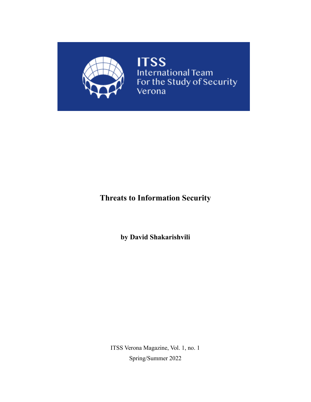

**ITSS**<br>International Team<br>For the Study of Security<br>Verona

# **Threats to Information Security**

**by David Shakarishvili**

ITSS Verona Magazine, Vol. 1, no. 1 Spring/Summer 2022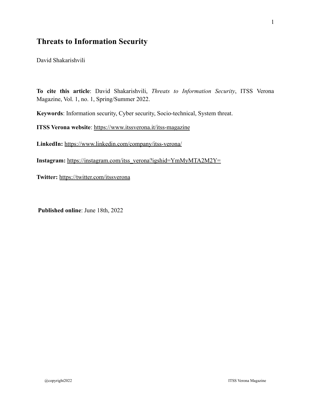# **Threats to Information Security**

David Shakarishvili

**To cite this article**: David Shakarishvili, *Threats to Information Security*, ITSS Verona Magazine, Vol. 1, no. 1, Spring/Summer 2022.

**Keywords**: Information security, Cyber security, Socio-technical, System threat.

**ITSS Verona website**:<https://www.itssverona.it/itss-magazine>

**LinkedIn:** <https://www.linkedin.com/company/itss-verona/>

**Instagram:** [https://instagram.com/itss\\_verona?igshid=YmMyMTA2M2Y=](https://instagram.com/itss_verona?igshid=YmMyMTA2M2Y=)

**Twitter:** <https://twitter.com/itssverona>

**Published online**: June 18th, 2022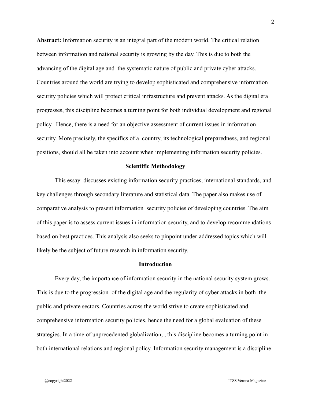**Abstract:** Information security is an integral part of the modern world. The critical relation between information and national security is growing by the day. This is due to both the advancing of the digital age and the systematic nature of public and private cyber attacks. Countries around the world are trying to develop sophisticated and comprehensive information security policies which will protect critical infrastructure and prevent attacks. As the digital era progresses, this discipline becomes a turning point for both individual development and regional policy. Hence, there is a need for an objective assessment of current issues in information security. More precisely, the specifics of a country, its technological preparedness, and regional positions, should all be taken into account when implementing information security policies.

# **Scientific Methodology**

This essay discusses existing information security practices, international standards, and key challenges through secondary literature and statistical data. The paper also makes use of comparative analysis to present information security policies of developing countries. The aim of this paper is to assess current issues in information security, and to develop recommendations based on best practices. This analysis also seeks to pinpoint under-addressed topics which will likely be the subject of future research in information security.

# **Introduction**

Every day, the importance of information security in the national security system grows. This is due to the progression of the digital age and the regularity of cyber attacks in both the public and private sectors. Countries across the world strive to create sophisticated and comprehensive information security policies, hence the need for a global evaluation of these strategies. In a time of unprecedented globalization, , this discipline becomes a turning point in both international relations and regional policy. Information security management is a discipline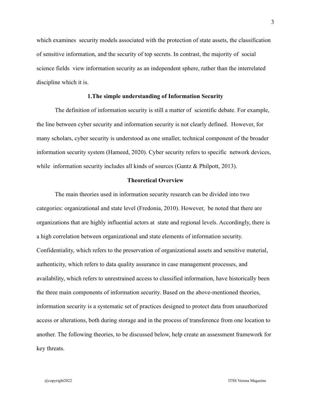which examines security models associated with the protection of state assets, the classification of sensitive information, and the security of top secrets. In contrast, the majority of social science fields view information security as an independent sphere, rather than the interrelated discipline which it is.

#### **1.The simple understanding of Information Security**

The definition of information security is still a matter of scientific debate. For example, the line between cyber security and information security is not clearly defined. However, for many scholars, cyber security is understood as one smaller, technical component of the broader information security system (Hameed, 2020). Cyber security refers to specific network devices, while information security includes all kinds of sources (Gantz & Philpott, 2013).

# **Theoretical Overview**

The main theories used in information security research can be divided into two categories: organizational and state level (Fredonia, 2010). However, be noted that there are organizations that are highly influential actors at state and regional levels. Accordingly, there is a high correlation between organizational and state elements of information security. Confidentiality, which refers to the preservation of organizational assets and sensitive material, authenticity, which refers to data quality assurance in case management processes, and availability, which refers to unrestrained access to classified information, have historically been the three main components of information security. Based on the above-mentioned theories, information security is a systematic set of practices designed to protect data from unauthorized access or alterations, both during storage and in the process of transference from one location to another. The following theories, to be discussed below, help create an assessment framework for key threats.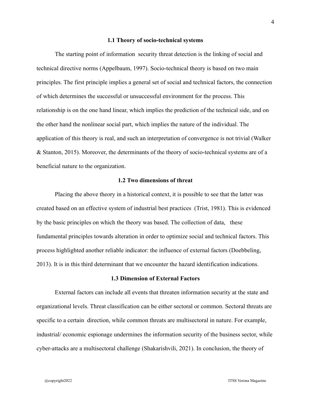#### **1.1 Theory of socio-technical systems**

The starting point of information security threat detection is the linking of social and technical directive norms (Appelbaum, 1997). Socio-technical theory is based on two main principles. The first principle implies a general set of social and technical factors, the connection of which determines the successful or unsuccessful environment for the process. This relationship is on the one hand linear, which implies the prediction of the technical side, and on the other hand the nonlinear social part, which implies the nature of the individual. The application of this theory is real, and such an interpretation of convergence is not trivial (Walker & Stanton, 2015). Moreover, the determinants of the theory of socio-technical systems are of a beneficial nature to the organization.

# **1.2 Two dimensions of threat**

Placing the above theory in a historical context, it is possible to see that the latter was created based on an effective system of industrial best practices (Trist, 1981). This is evidenced by the basic principles on which the theory was based. The collection of data, these fundamental principles towards alteration in order to optimize social and technical factors. This process highlighted another reliable indicator: the influence of external factors (Doebbeling, 2013). It is in this third determinant that we encounter the hazard identification indications.

# **1.3 Dimension of External Factors**

External factors can include all events that threaten information security at the state and organizational levels. Threat classification can be either sectoral or common. Sectoral threats are specific to a certain direction, while common threats are multisectoral in nature. For example, industrial/ economic espionage undermines the information security of the business sector, while cyber-attacks are a multisectoral challenge (Shakarishvili, 2021). In conclusion, the theory of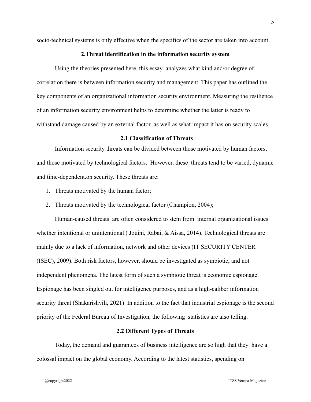socio-technical systems is only effective when the specifics of the sector are taken into account.

# **2.Threat identification in the information security system**

Using the theories presented here, this essay analyzes what kind and/or degree of correlation there is between information security and management. This paper has outlined the key components of an organizational information security environment. Measuring the resilience of an information security environment helps to determine whether the latter is ready to withstand damage caused by an external factor as well as what impact it has on security scales.

# **2.1 Classification of Threats**

Information security threats can be divided between those motivated by human factors, and those motivated by technological factors. However, these threats tend to be varied, dynamic and time-dependent.on security. These threats are:

- 1. Threats motivated by the human factor;
- 2. Threats motivated by the technological factor (Champion, 2004);

Human-caused threats are often considered to stem from internal organizational issues whether intentional or unintentional (Jouini, Rabai, & Aissa, 2014). Technological threats are mainly due to a lack of information, network and other devices (IT SECURITY CENTER (ISEC), 2009). Both risk factors, however, should be investigated as symbiotic, and not independent phenomena. The latest form of such a symbiotic threat is economic espionage. Espionage has been singled out for intelligence purposes, and as a high-caliber information security threat (Shakarishvili, 2021). In addition to the fact that industrial espionage is the second priority of the Federal Bureau of Investigation, the following statistics are also telling.

# **2.2 Different Types of Threats**

Today, the demand and guarantees of business intelligence are so high that they have a colossal impact on the global economy. According to the latest statistics, spending on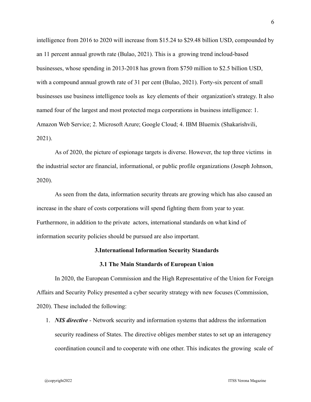intelligence from 2016 to 2020 will increase from \$15.24 to \$29.48 billion USD, compounded by an 11 percent annual growth rate (Bulao, 2021). This is a growing trend incloud-based businesses, whose spending in 2013-2018 has grown from \$750 million to \$2.5 billion USD, with a compound annual growth rate of 31 per cent (Bulao, 2021). Forty-six percent of small businesses use business intelligence tools as key elements of their organization's strategy. It also named four of the largest and most protected mega corporations in business intelligence: 1. Amazon Web Service; 2. Microsoft Azure; Google Cloud; 4. IBM Bluemix (Shakarishvili, 2021).

As of 2020, the picture of espionage targets is diverse. However, the top three victims in the industrial sector are financial, informational, or public profile organizations (Joseph Johnson, 2020).

As seen from the data, information security threats are growing which has also caused an increase in the share of costs corporations will spend fighting them from year to year. Furthermore, in addition to the private actors, international standards on what kind of information security policies should be pursued are also important.

# **3.International Information Security Standards**

# **3.1 The Main Standards of European Union**

In 2020, the European Commission and the High Representative of the Union for Foreign Affairs and Security Policy presented a cyber security strategy with new focuses (Commission, 2020). These included the following:

1. *NIS directive* - Network security and information systems that address the information security readiness of States. The directive obliges member states to set up an interagency coordination council and to cooperate with one other. This indicates the growing scale of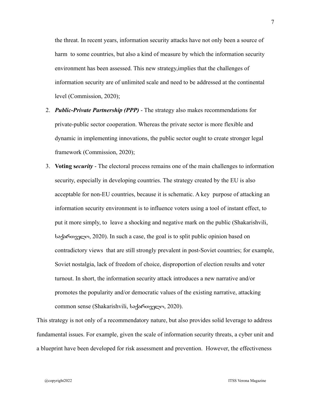the threat. In recent years, information security attacks have not only been a source of harm to some countries, but also a kind of measure by which the information security environment has been assessed. This new strategy,implies that the challenges of information security are of unlimited scale and need to be addressed at the continental level (Commission, 2020);

- 2. *Public-Private Partnership (PPP)* The strategy also makes recommendations for private-public sector cooperation. Whereas the private sector is more flexible and dynamic in implementing innovations, the public sector ought to create stronger legal framework (Commission, 2020);
- 3. **Voting s***ecurity* The electoral process remains one of the main challenges to information security, especially in developing countries. The strategy created by the EU is also acceptable for non-EU countries, because it is schematic. A key purpose of attacking an information security environment is to influence voters using a tool of instant effect, to put it more simply, to leave a shocking and negative mark on the public (Shakarishvili, საქართველო, 2020). In such a case, the goal is to split public opinion based on contradictory views that are still strongly prevalent in post-Soviet countries; for example, Soviet nostalgia, lack of freedom of choice, disproportion of election results and voter turnout. In short, the information security attack introduces a new narrative and/or promotes the popularity and/or democratic values of the existing narrative, attacking common sense (Shakarishvili, საქართველო, 2020).

This strategy is not only of a recommendatory nature, but also provides solid leverage to address fundamental issues. For example, given the scale of information security threats, a cyber unit and a blueprint have been developed for risk assessment and prevention. However, the effectiveness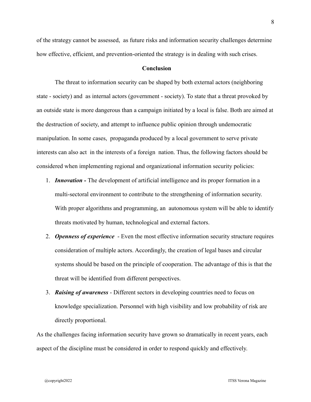of the strategy cannot be assessed, as future risks and information security challenges determine how effective, efficient, and prevention-oriented the strategy is in dealing with such crises.

# **Conclusion**

The threat to information security can be shaped by both external actors (neighboring state - society) and as internal actors (government - society). To state that a threat provoked by an outside state is more dangerous than a campaign initiated by a local is false. Both are aimed at the destruction of society, and attempt to influence public opinion through undemocratic manipulation. In some cases, propaganda produced by a local government to serve private interests can also act in the interests of a foreign nation. Thus, the following factors should be considered when implementing regional and organizational information security policies:

- 1. *Innovation -* The development of artificial intelligence and its proper formation in a multi-sectoral environment to contribute to the strengthening of information security. With proper algorithms and programming, an autonomous system will be able to identify threats motivated by human, technological and external factors.
- 2. *Openness of experience* Even the most effective information security structure requires consideration of multiple actors. Accordingly, the creation of legal bases and circular systems should be based on the principle of cooperation. The advantage of this is that the threat will be identified from different perspectives.
- 3. *Raising of awareness* Different sectors in developing countries need to focus on knowledge specialization. Personnel with high visibility and low probability of risk are directly proportional.

As the challenges facing information security have grown so dramatically in recent years, each aspect of the discipline must be considered in order to respond quickly and effectively.